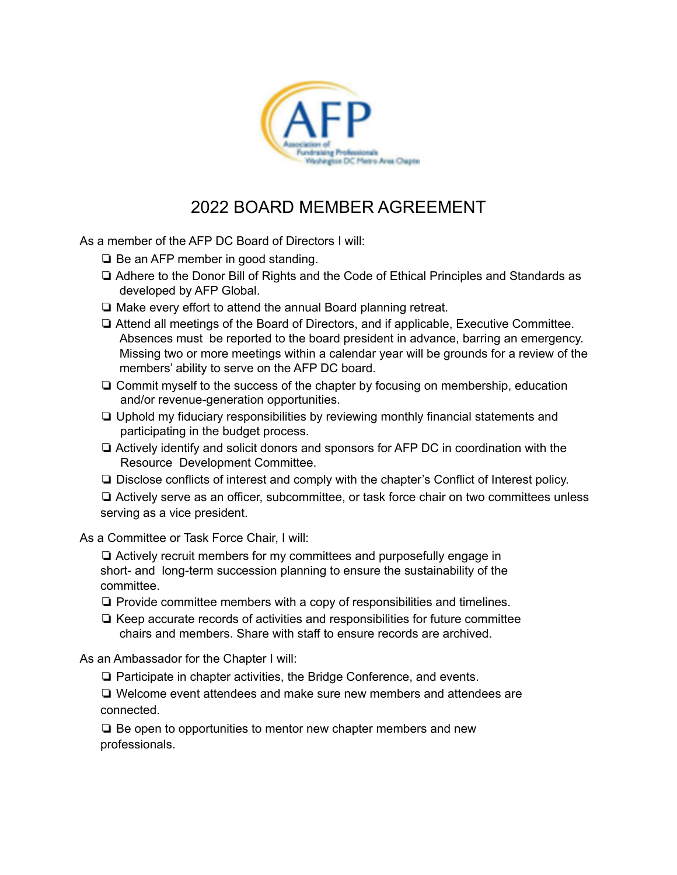

## 2022 BOARD MEMBER AGREEMENT

As a member of the AFP DC Board of Directors I will:

- ❏ Be an AFP member in good standing.
- ❏ Adhere to the Donor Bill of Rights and the Code of Ethical Principles and Standards as developed by AFP Global.
- ❏ Make every effort to attend the annual Board planning retreat.
- ❏ Attend all meetings of the Board of Directors, and if applicable, Executive Committee. Absences must be reported to the board president in advance, barring an emergency. Missing two or more meetings within a calendar year will be grounds for a review of the members' ability to serve on the AFP DC board.
- ❏ Commit myself to the success of the chapter by focusing on membership, education and/or revenue-generation opportunities.
- ❏ Uphold my fiduciary responsibilities by reviewing monthly financial statements and participating in the budget process.
- ❏ Actively identify and solicit donors and sponsors for AFP DC in coordination with the Resource Development Committee.
- ❏ Disclose conflicts of interest and comply with the chapter's Conflict of Interest policy.

❏ Actively serve as an officer, subcommittee, or task force chair on two committees unless serving as a vice president.

As a Committee or Task Force Chair, I will:

❏ Actively recruit members for my committees and purposefully engage in short- and long-term succession planning to ensure the sustainability of the committee.

- ❏ Provide committee members with a copy of responsibilities and timelines.
- ❏ Keep accurate records of activities and responsibilities for future committee chairs and members. Share with staff to ensure records are archived.

As an Ambassador for the Chapter I will:

❏ Participate in chapter activities, the Bridge Conference, and events.

❏ Welcome event attendees and make sure new members and attendees are connected.

❏ Be open to opportunities to mentor new chapter members and new professionals.